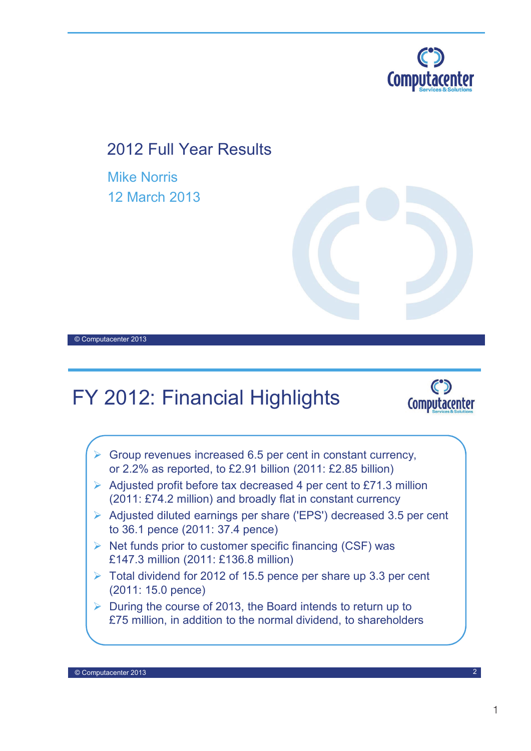

## 2012 Full Year Results

Mike Norris 12 March 2013



## FY 2012: Financial Highlights



- $\triangleright$  Group revenues increased 6.5 per cent in constant currency, or 2.2% as reported, to £2.91 billion (2011: £2.85 billion)
- $\triangleright$  Adjusted profit before tax decreased 4 per cent to £71.3 million (2011: £74.2 million) and broadly flat in constant currency
- Adjusted diluted earnings per share ('EPS') decreased 3.5 per cent to 36.1 pence (2011: 37.4 pence)
- $\triangleright$  Net funds prior to customer specific financing (CSF) was £147.3 million (2011: £136.8 million)
- $\triangleright$  Total dividend for 2012 of 15.5 pence per share up 3.3 per cent (2011: 15.0 pence)
- $\triangleright$  During the course of 2013, the Board intends to return up to £75 million, in addition to the normal dividend, to shareholders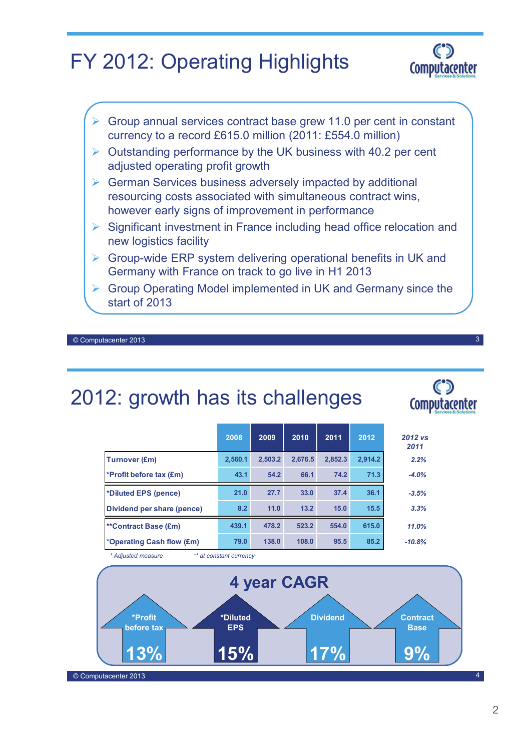# FY 2012: Operating Highlights



3

 $\mathbf C$ **Computacenter** 



start of 2013

© Computacenter 2013

## 2012: growth has its challenges

|                                                    | 2008    | 2009    | 2010    | 2011    | 2012    | 2012 vs<br>2011 |
|----------------------------------------------------|---------|---------|---------|---------|---------|-----------------|
| Turnover (£m)                                      | 2.560.1 | 2.503.2 | 2.676.5 | 2.852.3 | 2,914.2 | 2.2%            |
| <b>*Profit before tax <math>(\text{Em})</math></b> | 43.1    | 54.2    | 66.1    | 74.2    | 71.3    | $-4.0%$         |
| *Diluted EPS (pence)                               | 21.0    | 27.7    | 33.0    | 37.4    | 36.1    | $-3.5%$         |
| Dividend per share (pence)                         | 8.2     | 11.0    | 13.2    | 15.0    | 15.5    | 3.3%            |
| **Contract Base (£m)                               | 439.1   | 478.2   | 523.2   | 554.0   | 615.0   | 11.0%           |
| *Operating Cash flow (£m)                          | 79.0    | 138.0   | 108.0   | 95.5    | 85.2    | $-10.8%$        |

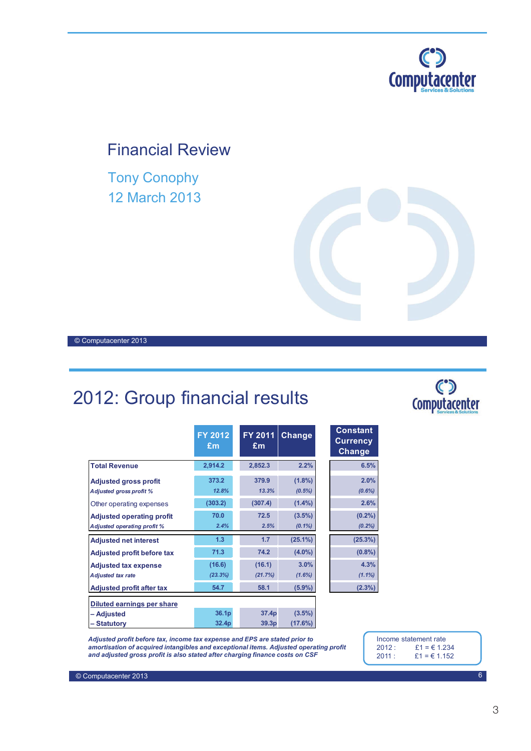

## Financial Review

Tony Conophy 12 March 2013

© Computacenter 2013

## 2012: Group financial results

|                                                                        | FY 2012<br>£m     | FY 2011<br>£m     | Change                 | <b>Constant</b><br><b>Currency</b><br>Change |
|------------------------------------------------------------------------|-------------------|-------------------|------------------------|----------------------------------------------|
| <b>Total Revenue</b>                                                   | 2,914.2           | 2,852.3           | 2.2%                   | 6.5%                                         |
| <b>Adjusted gross profit</b><br><b>Adjusted gross profit %</b>         | 373.2<br>12.8%    | 379.9<br>13.3%    | $(1.8\%)$<br>(0.5%)    | 2.0%<br>$(0.6\%)$                            |
| Other operating expenses                                               | (303.2)           | (307.4)           | $(1.4\%)$              | 2.6%                                         |
| <b>Adjusted operating profit</b><br><b>Adjusted operating profit %</b> | 70.0<br>2.4%      | 72.5<br>2.5%      | $(3.5\%)$<br>$(0.1\%)$ | $(0.2\%)$<br>(0.2%)                          |
| <b>Adjusted net interest</b>                                           | 1.3               | 1.7               | $(25.1\%)$             | (25.3%)                                      |
| <b>Adjusted profit before tax</b>                                      | 71.3              | 74.2              | $(4.0\%)$              | $(0.8\%)$                                    |
| <b>Adjusted tax expense</b><br><b>Adjusted tax rate</b>                | (16.6)<br>(23.3%) | (16.1)<br>(21.7%) | 3.0%<br>(1.6%)         | 4.3%<br>$(1.1\%)$                            |
| <b>Adjusted profit after tax</b>                                       | 54.7              | 58.1              | $(5.9\%)$              | $(2.3\%)$                                    |
| Diluted earnings per share                                             |                   |                   |                        |                                              |
| – Adjusted                                                             | 36.1 <sub>p</sub> | 37.4p             | $(3.5\%)$              |                                              |
| – Statutory                                                            | 32.4p             | 39.3p             | (17.6%)                |                                              |



*Adjusted profit before tax, income tax expense and EPS are stated prior to amortisation of acquired intangibles and exceptional items. Adjusted operating profit and adjusted gross profit is also stated after charging finance costs on CSF*

Income statement rate<br>2012:  $£1 = £1.2$ 2012 :  $£1 = € 1.234$ <br>2011 :  $£1 = € 1.152$  $£1 = £1.152$ 

C°D<br>Computacenter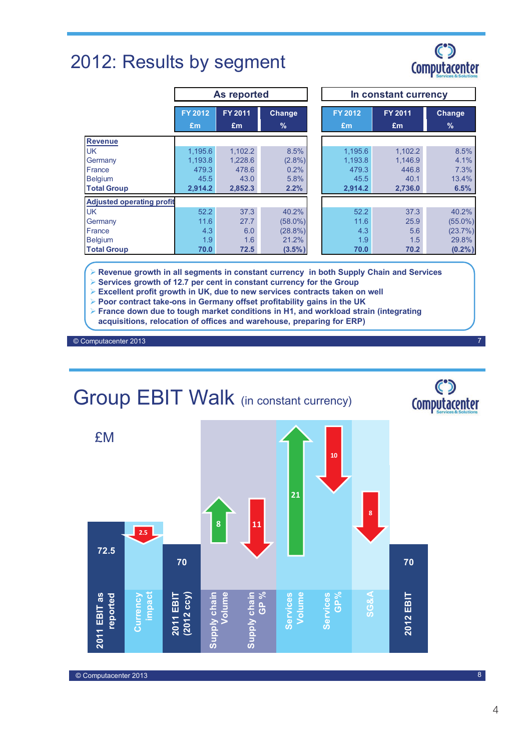## 2012: Results by segment



|                                  | As reported    |         |            | In constant currency |         |            |
|----------------------------------|----------------|---------|------------|----------------------|---------|------------|
|                                  | <b>FY 2012</b> | FY 2011 | Change     | <b>FY 2012</b>       | FY 2011 | Change     |
|                                  | £m             | £m      | $\%$       | £m                   | £m      | $\%$       |
| <b>Revenue</b>                   |                |         |            |                      |         |            |
| <b>UK</b>                        | 1,195.6        | 1,102.2 | 8.5%       | 1,195.6              | 1,102.2 | 8.5%       |
| Germany                          | 1.193.8        | 1,228.6 | $(2.8\%)$  | 1.193.8              | 1.146.9 | 4.1%       |
| France                           | 479.3          | 478.6   | 0.2%       | 479.3                | 446.8   | 7.3%       |
| <b>Belgium</b>                   | 45.5           | 43.0    | 5.8%       | 45.5                 | 40.1    | 13.4%      |
| <b>Total Group</b>               | 2,914.2        | 2,852.3 | 2.2%       | 2,914.2              | 2,736.0 | 6.5%       |
| <b>Adjusted operating profit</b> |                |         |            |                      |         |            |
| <b>UK</b>                        | 52.2           | 37.3    | 40.2%      | 52.2                 | 37.3    | 40.2%      |
| Germany                          | 11.6           | 27.7    | $(58.0\%)$ | 11.6                 | 25.9    | $(55.0\%)$ |
| France                           | 4.3            | 6.0     | $(28.8\%)$ | 4.3                  | 5.6     | (23.7%)    |
| <b>Belgium</b>                   | 1.9            | 1.6     | 21.2%      | 1.9                  | 1.5     | 29.8%      |
| <b>Total Group</b>               | 70.0           | 72.5    | $(3.5\%)$  | 70.0                 | 70.2    | (0.2% )    |

**Revenue growth in all segments in constant currency in both Supply Chain and Services**

- **Services growth of 12.7 per cent in constant currency for the Group**
- **Excellent profit growth in UK, due to new services contracts taken on well**
- **Poor contract take-ons in Germany offset profitability gains in the UK**
- **France down due to tough market conditions in H1, and workload strain (integrating**
- **acquisitions, relocation of offices and warehouse, preparing for ERP)**

© Computacenter 2013

# Group EBIT Walk (in constant currency)



8

7

 $\mathbf C$ Computacenter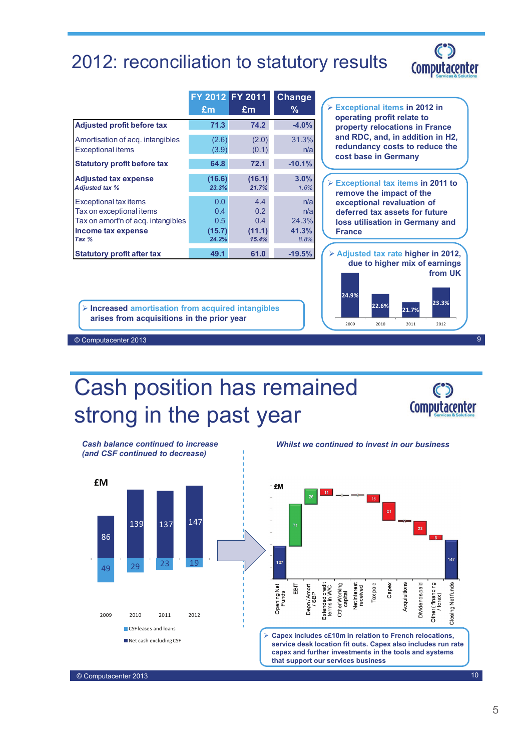## 2012: reconciliation to statutory results



|                                                                   |                        | FY 2012 FY 2011        | <b>Change</b>          |                                                                                            |
|-------------------------------------------------------------------|------------------------|------------------------|------------------------|--------------------------------------------------------------------------------------------|
|                                                                   | Em                     | £m                     | ℅                      | $\triangleright$ Exceptional items in 2012 in                                              |
| <b>Adjusted profit before tax</b>                                 | 71.3                   | 74.2                   | $-4.0%$                | operating profit relate to<br>property relocations in France                               |
| Amortisation of acq. intangibles<br><b>Exceptional items</b>      | (2.6)<br>(3.9)         | (2.0)<br>(0.1)         | 31.3%<br>n/a           | and RDC, and, in addition in H2,<br>redundancy costs to reduce the<br>cost base in Germany |
| <b>Statutory profit before tax</b>                                | 64.8                   | 72.1                   | $-10.1%$               |                                                                                            |
| <b>Adjusted tax expense</b><br><b>Adjusted tax %</b>              | (16.6)<br>23.3%        | (16.1)<br>21.7%        | 3.0%<br>1.6%           | $\triangleright$ Exceptional tax items in 2011 to<br>remove the impact of the              |
| Exceptional tax items<br>Tax on exceptional items                 | 0.0<br>0.4             | 4.4<br>0.2             | n/a<br>n/a             | exceptional revaluation of<br>deferred tax assets for future                               |
| Tax on amort'n of acq. intangibles<br>Income tax expense<br>Tax % | 0.5<br>(15.7)<br>24.2% | 0.4<br>(11.1)<br>15.4% | 24.3%<br>41.3%<br>8.8% | loss utilisation in Germany and<br><b>France</b>                                           |
| <b>Statutory profit after tax</b>                                 | 49.1                   | 61.0                   | $-19.5%$               | > Adjusted tax rate higher in 2012,<br>due to higher mix of earnings                       |
|                                                                   |                        |                        |                        | from UK                                                                                    |

 **Increased amortisation from acquired intangibles arises from acquisitions in the prior year**



2009 2010 2011 2012

© Computacenter 2013

# Cash position has remained strong in the past year



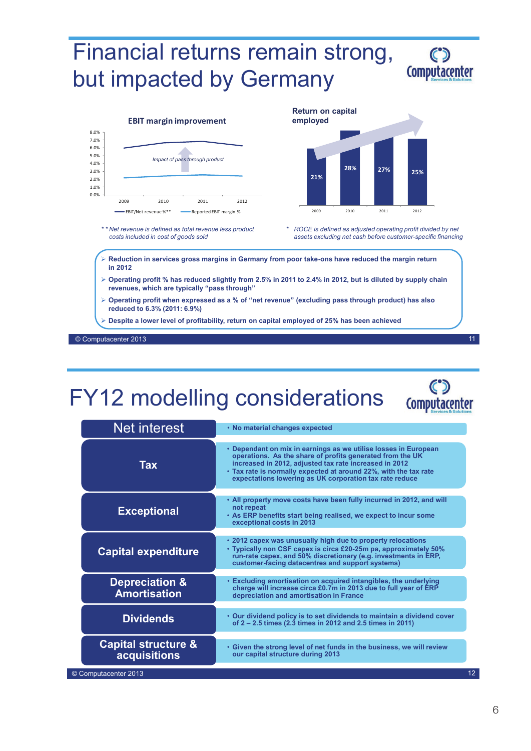# Financial returns remain strong, but impacted by Germany



11

**Computacenter** 





*costs included in cost of goods sold*

*\* ROCE is defined as adjusted operating profit divided by net assets excluding net cash before customer-specific financing*

 **Reduction in services gross margins in Germany from poor take-ons have reduced the margin return in 2012** 

- **Operating profit % has reduced slightly from 2.5% in 2011 to 2.4% in 2012, but is diluted by supply chain revenues, which are typically "pass through"**
- **Operating profit when expressed as a % of "net revenue" (excluding pass through product) has also reduced to 6.3% (2011: 6.9%)**
- **Despite a lower level of profitability, return on capital employed of 25% has been achieved**

© Computacenter 2013

# FY12 modelling considerations

| <b>Net interest</b>                                   | • No material changes expected                                                                                                                                                                                                                                                                                        |
|-------------------------------------------------------|-----------------------------------------------------------------------------------------------------------------------------------------------------------------------------------------------------------------------------------------------------------------------------------------------------------------------|
| <b>Tax</b>                                            | • Dependant on mix in earnings as we utilise losses in European<br>operations. As the share of profits generated from the UK<br>increased in 2012, adjusted tax rate increased in 2012<br>• Tax rate is normally expected at around 22%, with the tax rate<br>expectations lowering as UK corporation tax rate reduce |
| <b>Exceptional</b>                                    | . All property move costs have been fully incurred in 2012, and will<br>not repeat<br>. As ERP benefits start being realised, we expect to incur some<br>exceptional costs in 2013                                                                                                                                    |
| <b>Capital expenditure</b>                            | • 2012 capex was unusually high due to property relocations<br>• Typically non CSF capex is circa £20-25m pa, approximately 50%<br>run-rate capex, and 50% discretionary (e.g. investments in ERP,<br>customer-facing datacentres and support systems)                                                                |
| <b>Depreciation &amp;</b><br><b>Amortisation</b>      | • Excluding amortisation on acquired intangibles, the underlying<br>charge will increase circa £0.7m in 2013 due to full year of ERP<br>depreciation and amortisation in France                                                                                                                                       |
| <b>Dividends</b>                                      | • Our dividend policy is to set dividends to maintain a dividend cover<br>of 2 – 2.5 times (2.3 times in 2012 and 2.5 times in 2011)                                                                                                                                                                                  |
| <b>Capital structure &amp;</b><br><b>acquisitions</b> | . Given the strong level of net funds in the business, we will review<br>our capital structure during 2013                                                                                                                                                                                                            |
| © Computacenter 2013                                  |                                                                                                                                                                                                                                                                                                                       |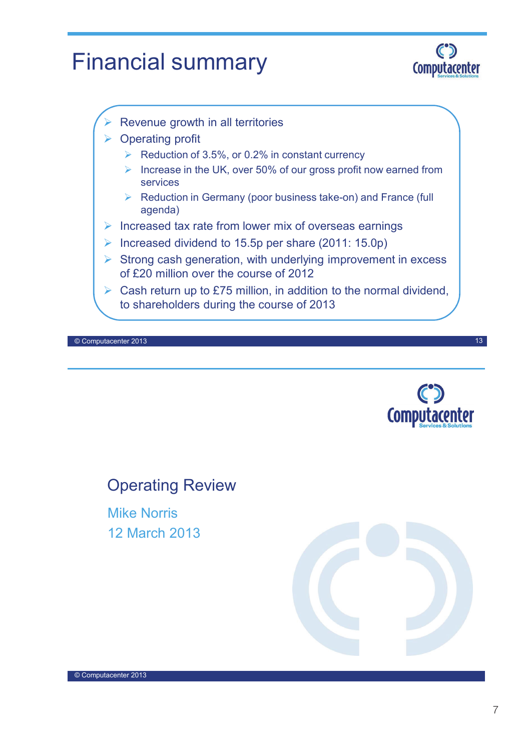# Financial summary



- Revenue growth in all territories
- **▶ Operating profit** 
	- $\triangleright$  Reduction of 3.5%, or 0.2% in constant currency
	- Increase in the UK, over 50% of our gross profit now earned from services
	- $\triangleright$  Reduction in Germany (poor business take-on) and France (full agenda)
- Increased tax rate from lower mix of overseas earnings
- Increased dividend to 15.5p per share  $(2011: 15.0p)$
- $\triangleright$  Strong cash generation, with underlying improvement in excess of £20 million over the course of 2012
- $\triangleright$  Cash return up to £75 million, in addition to the normal dividend, to shareholders during the course of 2013

© Computacenter 2013



13

## Operating Review

Mike Norris 12 March 2013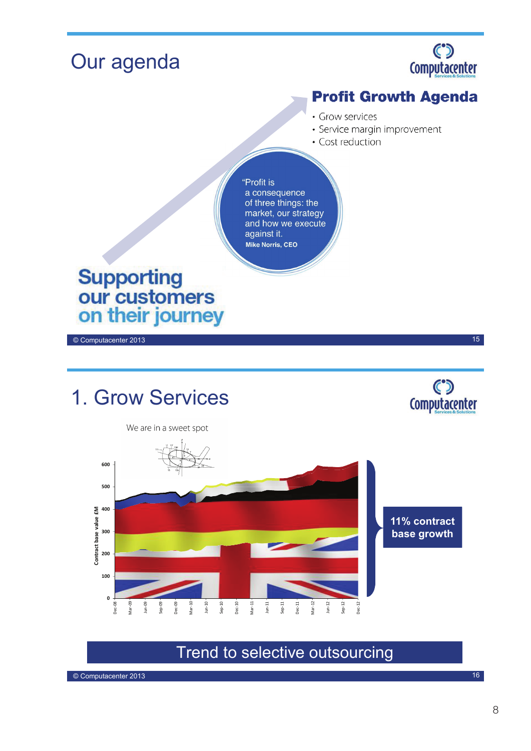

Trend to selective outsourcing

© Computacenter 2013

16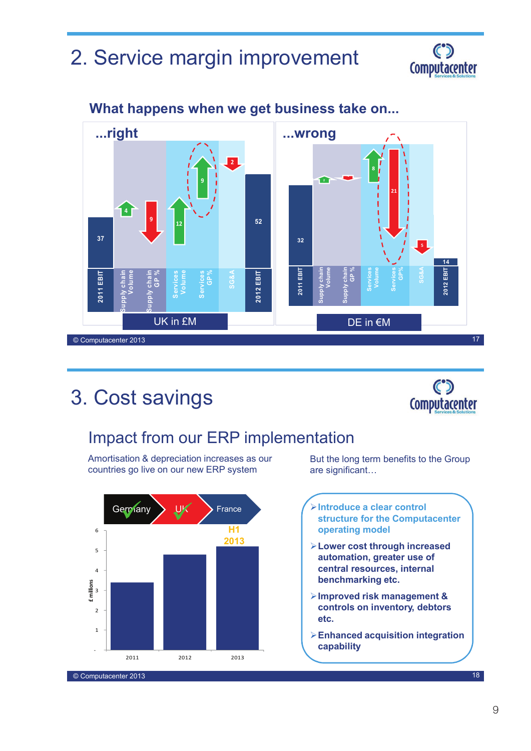## 2. Service margin improvement





#### **What happens when we get business take on...**

## 3. Cost savings



## Impact from our ERP implementation

Amortisation & depreciation increases as our countries go live on our new ERP system



But the long term benefits to the Group are significant…

- **Introduce a clear control structure for the Computacenter operating model**
- **Lower cost through increased automation, greater use of central resources, internal benchmarking etc.**
- **Improved risk management & controls on inventory, debtors etc.**
- **Enhanced acquisition integration capability**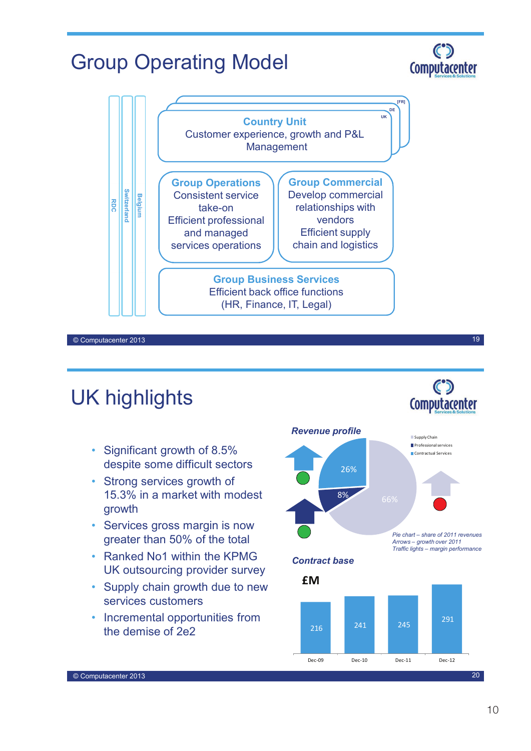## Group Operating Model



© Computacenter 2013

## UK highlights

- Significant growth of 8.5% despite some difficult sectors
- Strong services growth of 15.3% in a market with modest growth
- Services gross margin is now greater than 50% of the total
- Ranked No1 within the KPMG UK outsourcing provider survey
- Supply chain growth due to new services customers
- Incremental opportunities from the demise of 2e2





© Computacenter 2013

#### $\mathbf C$ **Computacenter**

19

 $\mathbf C$ **Computacenter**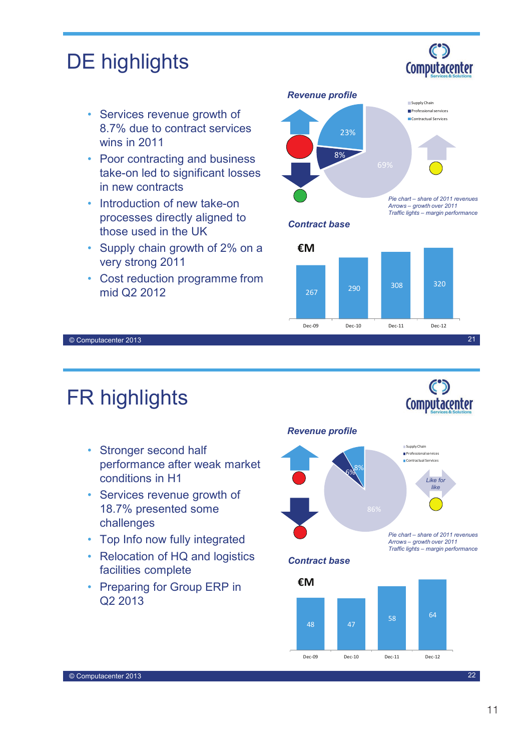## DE highlights

- Services revenue growth of 8.7% due to contract services wins in 2011
- Poor contracting and business take-on led to significant losses in new contracts
- Introduction of new take-on processes directly aligned to those used in the UK
- Supply chain growth of 2% on a very strong 2011
- Cost reduction programme from mid Q2 2012



*Contract base*



© Computacenter 2013

## FR highlights

- Stronger second half performance after weak market conditions in H1
- Services revenue growth of 18.7% presented some challenges
- Top Info now fully integrated
- Relocation of HQ and logistics facilities complete
- Preparing for Group ERP in Q2 2013

#### *Revenue profile*



*Arrows – growth over 2011 Traffic lights – margin performance*

*Contract base*



© Computacenter 2013



 $\mathbf{C}$ Computacenter

 $\mathbf C$ Computacenter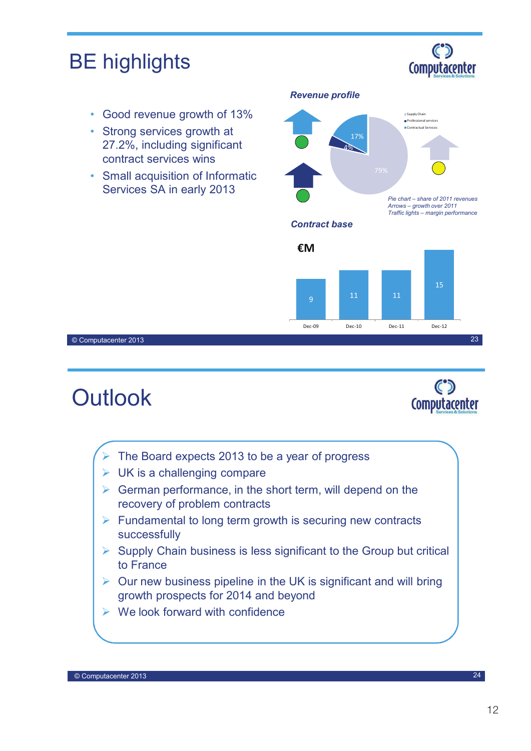

- $\triangleright$  Our new business pipeline in the UK is significant and will bring growth prospects for 2014 and beyond
- $\triangleright$  We look forward with confidence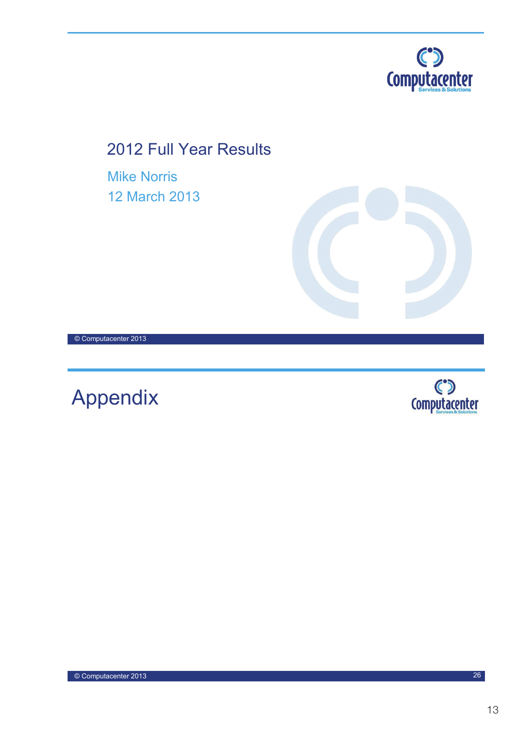

2012 Full Year Results

Mike Norris 12 March 2013



© Computacenter 2013

Appendix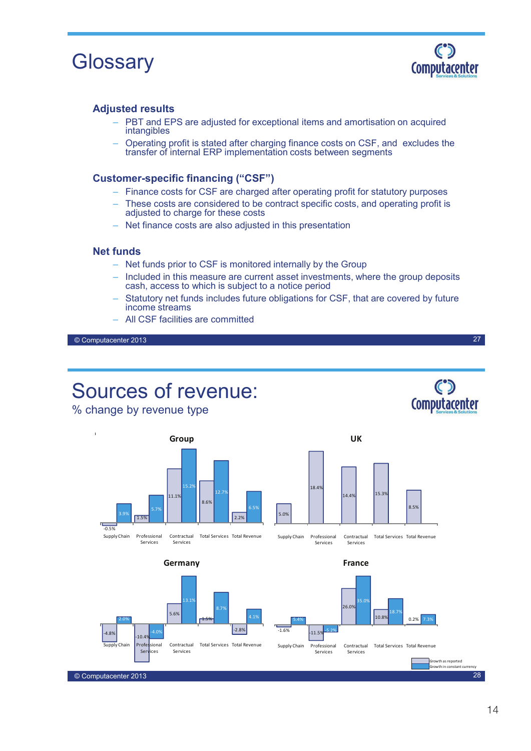



27

**Computacenter** 

#### **Adjusted results**

- PBT and EPS are adjusted for exceptional items and amortisation on acquired intangibles
- Operating profit is stated after charging finance costs on CSF, and excludes the transfer of internal ERP implementation costs between segments

#### **Customer-specific financing ("CSF")**

- Finance costs for CSF are charged after operating profit for statutory purposes
- These costs are considered to be contract specific costs, and operating profit is adjusted to charge for these costs
- Net finance costs are also adjusted in this presentation

#### **Net funds**

- Net funds prior to CSF is monitored internally by the Group
- Included in this measure are current asset investments, where the group deposits cash, access to which is subject to a notice period
- Statutory net funds includes future obligations for CSF, that are covered by future income streams
- All CSF facilities are committed

© Computacenter 2013

Constant Ccy Growth

## Sources of revenue:

% change by revenue type



Services Services





**UK**

#### **France**

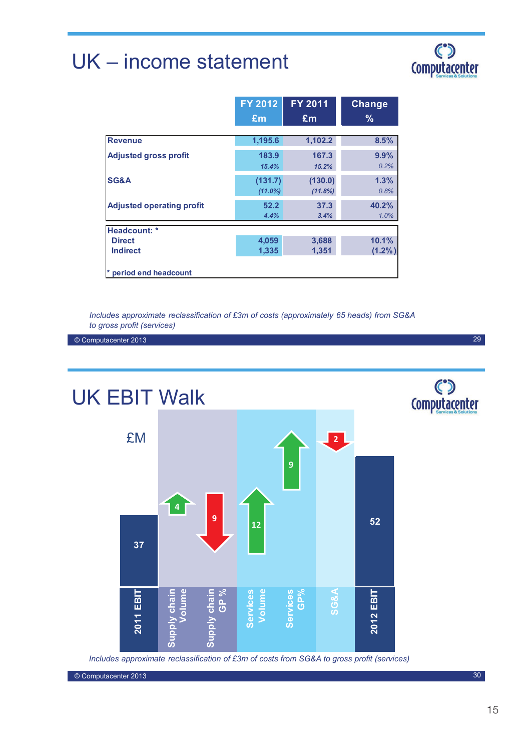## UK – income statement

# C°

|                                  | <b>FY 2012</b>        | <b>FY 2011</b>     | <b>Change</b>  |
|----------------------------------|-----------------------|--------------------|----------------|
|                                  | £m                    | £m                 | $\frac{9}{6}$  |
| <b>Revenue</b>                   | 1,195.6               | 1,102.2            | 8.5%           |
| <b>Adjusted gross profit</b>     | 183.9<br>15.4%        | 167.3<br>15.2%     | 9.9%<br>0.2%   |
| <b>SG&amp;A</b>                  | (131.7)<br>$(11.0\%)$ | (130.0)<br>(11.8%) | 1.3%<br>0.8%   |
| <b>Adjusted operating profit</b> | 52.2<br>4.4%          | 37.3<br>3.4%       | 40.2%<br>1.0%  |
| Headcount: *                     |                       |                    |                |
| <b>Direct</b><br><b>Indirect</b> | 4,059<br>1,335        | 3,688<br>1,351     | 10.1%<br>(1.2% |
| * period end headcount           |                       |                    |                |

*Includes approximate reclassification of £3m of costs (approximately 65 heads) from SG&A to gross profit (services)*

© Computacenter 2013

C°D<br>Computacenter UK EBIT Walk £M **2 9 4 9 52 12 37**Supply chain<br>GP % **Supply chain Supply chain**  Services<br>Volume **Services Services**  Services<br>GP% **SG&A** EBIT y chain 2012 EBIT **2011 EBIT Volume 2012 EBIT** 2011 ္တြ

*Includes approximate reclassification of £3m of costs from SG&A to gross profit (services)*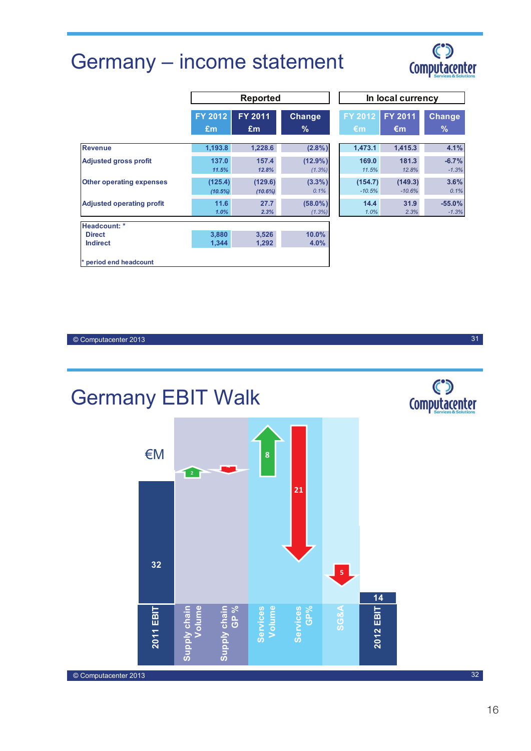## Germany – income statement



31

|                                  |                       | <b>Reported</b>       |                      |                      | In local currency   |                     |  |
|----------------------------------|-----------------------|-----------------------|----------------------|----------------------|---------------------|---------------------|--|
|                                  | FY 2012<br>Em         | FY 2011<br>£m         | Change<br>%          | <b>FY 2012</b><br>€m | FY 2011<br>€m       | <b>Change</b><br>%  |  |
| <b>Revenue</b>                   | 1,193.8               | 1,228.6               | (2.8%)               | 1,473.1              | 1,415.3             | 4.1%                |  |
| <b>Adjusted gross profit</b>     | 137.0<br>11.5%        | 157.4<br>12.8%        | $(12.9\%)$<br>(1.3%) | 169.0<br>11.5%       | 181.3<br>12.8%      | $-6.7%$<br>$-1.3%$  |  |
| <b>Other operating expenses</b>  | (125.4)<br>$(10.5\%)$ | (129.6)<br>$(10.6\%)$ | $(3.3\%)$<br>0.1%    | (154.7)<br>$-10.5%$  | (149.3)<br>$-10.6%$ | 3.6%<br>0.1%        |  |
| <b>Adjusted operating profit</b> | 11.6<br>1.0%          | 27.7<br>2.3%          | $(58.0\%)$<br>(1.3%) | 14.4<br>1.0%         | 31.9<br>2.3%        | $-55.0%$<br>$-1.3%$ |  |
| Headcount: *                     |                       |                       |                      |                      |                     |                     |  |
| <b>Direct</b><br><b>Indirect</b> | 3,880<br>1,344        | 3,526<br>1,292        | 10.0%<br>$4.0\%$     |                      |                     |                     |  |
| * period end headcount           |                       |                       |                      |                      |                     |                     |  |

|            | <b>Reported</b> |               | In local currency |              |               |  |  |
|------------|-----------------|---------------|-------------------|--------------|---------------|--|--|
| 012        | FY 2011         | <b>Change</b> | FY 2012           | FY 2011      | <b>Change</b> |  |  |
| 'n         | £m              | $\%$          | €m                | $\epsilon$ m | $\%$          |  |  |
| 193.8      | 1,228.6         | $(2.8\%)$     | 1,473.1           | 1,415.3      | 4.1%          |  |  |
| 137.0      | 157.4           | $(12.9\%)$    | 169.0             | 181.3        | $-6.7%$       |  |  |
| 11.5%      | 12.8%           | (1.3%)        | 11.5%             | 12.8%        | $-1.3%$       |  |  |
| 125.4)     | (129.6)         | $(3.3\%)$     | (154.7)           | (149.3)      | 3.6%          |  |  |
| $(10.5\%)$ | (10.6%)         | 0.1%          | $-10.5%$          | $-10.6%$     | 0.1%          |  |  |
| 11.6       | 27.7            | $(58.0\%)$    | 14.4              | 31.9         | $-55.0%$      |  |  |
| 1.0%       | 2.3%            | (1.3%)        | 1.0%              | 2.3%         | $-1.3%$       |  |  |

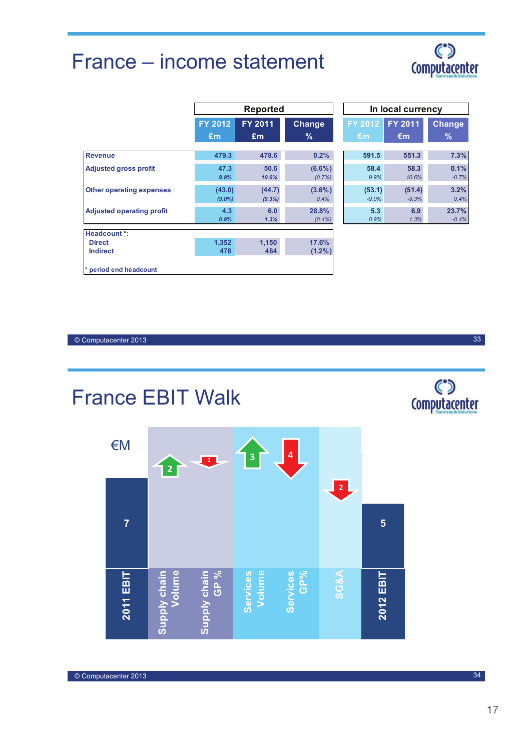## France – income statement



|                                  |                     | <b>Reported</b>          |                        |                    | In local currency |                  |
|----------------------------------|---------------------|--------------------------|------------------------|--------------------|-------------------|------------------|
|                                  | <b>FY 2012</b>      | FY 2011<br><b>Change</b> |                        | FY 2012            | FY 2011           | <b>Change</b>    |
|                                  | Em                  | Em                       | $\%$                   | €m                 | €m                | $\%$             |
| <b>Revenue</b>                   | 479.3               | 478.6                    | 0.2%                   | 591.5              | 551.3             | 7.3%             |
| <b>Adjusted gross profit</b>     | 47.3<br>9.9%        | 50.6<br>10.6%            | $(6.6\%)$<br>$(0.7\%)$ | 58.4<br>9.9%       | 58.3<br>10.6%     | 0.1%<br>$-0.7%$  |
| <b>Other operating expenses</b>  | (43.0)<br>$(9.0\%)$ | (44.7)<br>(9.3%)         | $(3.6\%)$<br>0.4%      | (53.1)<br>$-9.0\%$ | (51.4)<br>$-9.3%$ | 3.2%<br>0.4%     |
| <b>Adjusted operating profit</b> | 4.3<br>0.9%         | 6.0<br>1.3%              | 28.8%<br>$(0.4\%)$     | 5.3<br>0.9%        | 6.9<br>1.3%       | 23.7%<br>$-0.4%$ |
| Headcount *:                     |                     |                          |                        |                    |                   |                  |
| <b>Direct</b><br><b>Indirect</b> | 1.352<br>478        | 1.150<br>484             | 17.6%<br>$(1.2\%)$     |                    |                   |                  |
| * period end headcount           |                     |                          |                        |                    |                   |                  |

© Computacenter 2013

© Computacenter 2013

France EBIT Walk

| €M             | $\overline{\mathbf{c}}$       | $\mathbf{1}$           | 3                  | 4                      |                 |           |
|----------------|-------------------------------|------------------------|--------------------|------------------------|-----------------|-----------|
| $\overline{7}$ |                               |                        |                    |                        | $\overline{2}$  | 5         |
|                |                               |                        |                    |                        |                 |           |
| 2011 EBIT      | Volume<br><b>Supply chain</b> | $GP$ %<br>Supply chain | Volume<br>Services | GP%<br><b>Services</b> | <b>SG&amp;A</b> | 2012 EBIT |

C°D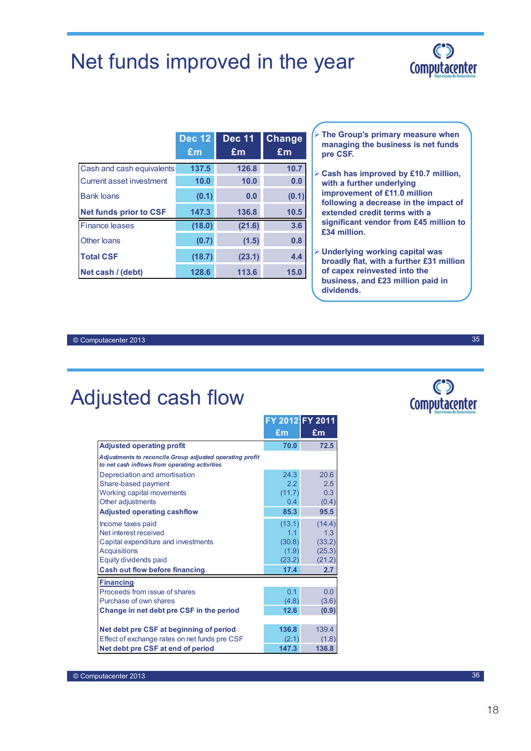## Net funds improved in the year



|                               | <b>Dec 12</b> | <b>Dec 11</b>  | <b>Change</b> |
|-------------------------------|---------------|----------------|---------------|
|                               | £m            | E <sub>m</sub> | £m            |
| Cash and cash equivalents     | 137.5         | 126.8          | 10.7          |
| Current asset investment      | 10.0          | 10.0           | 0.0           |
| <b>Bank loans</b>             | (0.1)         | 0.0            | (0.1)         |
| <b>Net funds prior to CSF</b> | 147.3         | 136.8          | 10.5          |
| <b>Finance leases</b>         | (18.0)        | (21.6)         | 3.6           |
| Other loans                   | (0.7)         | (1.5)          | 0.8           |
| <b>Total CSF</b>              | (18.7)        | (23.1)         | 4.4           |
| Net cash / (debt)             | 128.6         | 113.6          | 15.0          |

 **The Group's primary measure when managing the business is net funds pre CSF.**

- **Cash has improved by £10.7 million, with a further underlying improvement of £11.0 million following a decrease in the impact of extended credit terms with a significant vendor from £45 million to £34 million.**
- **Underlying working capital was broadly flat, with a further £31 million of capex reinvested into the business, and £23 million paid in dividends.**

© Computacenter 2013

## Adjusted cash flow

|                                                                                                           | FY 2012 FY 2011 |                           |
|-----------------------------------------------------------------------------------------------------------|-----------------|---------------------------|
|                                                                                                           | £m              | $\mathbf{f}_{\mathbf{m}}$ |
| <b>Adjusted operating profit</b>                                                                          | 70.0            | 72.5                      |
| Adjustments to reconcile Group adjusted operating profit<br>to net cash inflows from operating activities |                 |                           |
| Depreciation and amortisation                                                                             | 24.3            | 20.6                      |
| Share-based payment                                                                                       | 2.2             | 2.5                       |
| Working capital movements                                                                                 | (11.7)          | 0.3                       |
| Other adjustments                                                                                         | $0.4^{\circ}$   | (0.4)                     |
| <b>Adjusted operating cashflow</b>                                                                        | 85.3            | 95.5                      |
| Income taxes paid                                                                                         | (13.1)          | (14.4)                    |
| Net interest received                                                                                     | 1.1             | 1.3                       |
| Capital expenditure and investments                                                                       | (30.8)          | (33.2)                    |
| <b>Acquisitions</b>                                                                                       | (1.9)           | (25.3)                    |
| Equity dividends paid                                                                                     | (23.2)          | (21.2)                    |
| <b>Cash out flow before financing</b>                                                                     | 17.4            | 2.7                       |
| <b>Financing</b>                                                                                          |                 |                           |
| Proceeds from issue of shares                                                                             | 0.1             | 0.0                       |
| Purchase of own shares                                                                                    | (4.8)           | (3.6)                     |
| Change in net debt pre CSF in the period                                                                  | 12.6            | (0.9)                     |
|                                                                                                           |                 |                           |
| Net debt pre CSF at beginning of period                                                                   | 136.8           | 139.4                     |
| Effect of exchange rates on net funds pre CSF                                                             | (2.1)           | (1.8)                     |
| Net debt pre CSF at end of period                                                                         | 147.3           | 136.8                     |

 $\mathbf C$ **Computacenter**